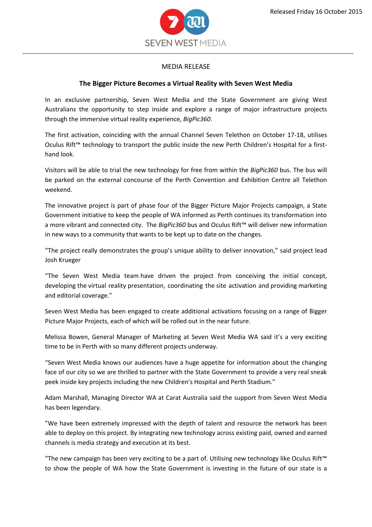

## MEDIA RELEASE

## **The Bigger Picture Becomes a Virtual Reality with Seven West Media**

In an exclusive partnership, Seven West Media and the State Government are giving West Australians the opportunity to step inside and explore a range of major infrastructure projects through the immersive virtual reality experience, *BigPic360*.

The first activation, coinciding with the annual Channel Seven Telethon on October 17-18, utilises Oculus Rift™ technology to transport the public inside the new Perth Children's Hospital for a firsthand look.

Visitors will be able to trial the new technology for free from within the *BigPic360* bus. The bus will be parked on the external concourse of the Perth Convention and Exhibition Centre all Telethon weekend.

The innovative project is part of phase four of the Bigger Picture Major Projects campaign, a State Government initiative to keep the people of WA informed as Perth continues its transformation into a more vibrant and connected city. The *BigPic360* bus and Oculus Rift™ will deliver new information in new ways to a community that wants to be kept up to date on the changes.

"The project really demonstrates the group's unique ability to deliver innovation," said project lead Josh Krueger

"The Seven West Media team have driven the project from conceiving the initial concept, developing the virtual reality presentation, coordinating the site activation and providing marketing and editorial coverage."

Seven West Media has been engaged to create additional activations focusing on a range of Bigger Picture Major Projects, each of which will be rolled out in the near future.

Melissa Bowen, General Manager of Marketing at Seven West Media WA said it's a very exciting time to be in Perth with so many different projects underway.

"Seven West Media knows our audiences have a huge appetite for information about the changing face of our city so we are thrilled to partner with the State Government to provide a very real sneak peek inside key projects including the new Children's Hospital and Perth Stadium."

Adam Marshall, Managing Director WA at Carat Australia said the support from Seven West Media has been legendary.

"We have been extremely impressed with the depth of talent and resource the network has been able to deploy on this project. By integrating new technology across existing paid, owned and earned channels is media strategy and execution at its best.

"The new campaign has been very exciting to be a part of. Utilising new technology like Oculus Rift™ to show the people of WA how the State Government is investing in the future of our state is a